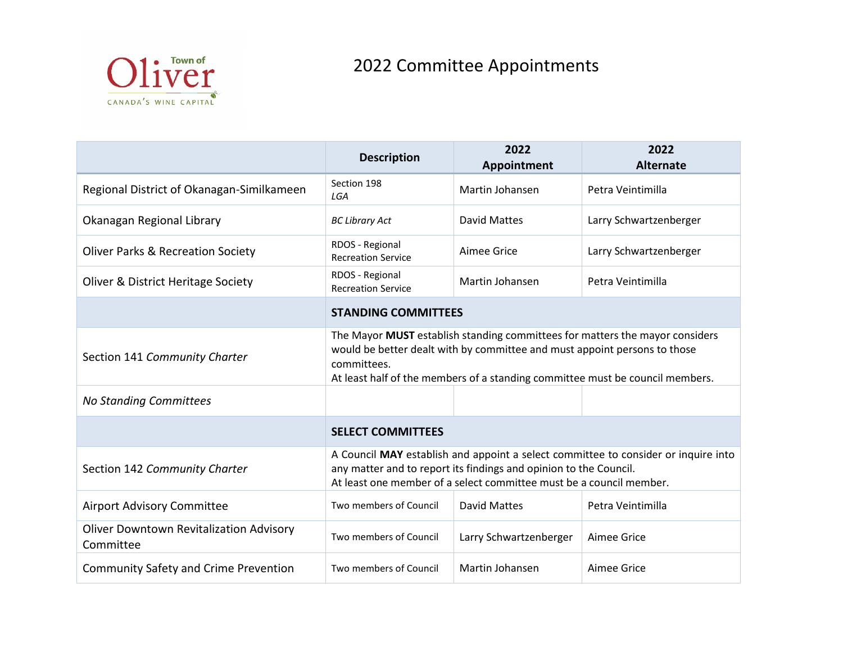

## 2022 Committee Appointments

|                                                             | <b>Description</b>                                                                                                                                                                                                                                        | 2022<br><b>Appointment</b> | 2022<br><b>Alternate</b> |
|-------------------------------------------------------------|-----------------------------------------------------------------------------------------------------------------------------------------------------------------------------------------------------------------------------------------------------------|----------------------------|--------------------------|
| Regional District of Okanagan-Similkameen                   | Section 198<br>LGA                                                                                                                                                                                                                                        | Martin Johansen            | Petra Veintimilla        |
| Okanagan Regional Library                                   | <b>BC Library Act</b>                                                                                                                                                                                                                                     | David Mattes               | Larry Schwartzenberger   |
| <b>Oliver Parks &amp; Recreation Society</b>                | RDOS - Regional<br><b>Recreation Service</b>                                                                                                                                                                                                              | Aimee Grice                | Larry Schwartzenberger   |
| Oliver & District Heritage Society                          | RDOS - Regional<br><b>Recreation Service</b>                                                                                                                                                                                                              | Martin Johansen            | Petra Veintimilla        |
|                                                             | <b>STANDING COMMITTEES</b>                                                                                                                                                                                                                                |                            |                          |
| Section 141 Community Charter                               | The Mayor MUST establish standing committees for matters the mayor considers<br>would be better dealt with by committee and must appoint persons to those<br>committees.<br>At least half of the members of a standing committee must be council members. |                            |                          |
| <b>No Standing Committees</b>                               |                                                                                                                                                                                                                                                           |                            |                          |
|                                                             | <b>SELECT COMMITTEES</b>                                                                                                                                                                                                                                  |                            |                          |
| Section 142 Community Charter                               | A Council MAY establish and appoint a select committee to consider or inquire into<br>any matter and to report its findings and opinion to the Council.<br>At least one member of a select committee must be a council member.                            |                            |                          |
| <b>Airport Advisory Committee</b>                           | Two members of Council                                                                                                                                                                                                                                    | <b>David Mattes</b>        | Petra Veintimilla        |
| <b>Oliver Downtown Revitalization Advisory</b><br>Committee | Two members of Council                                                                                                                                                                                                                                    | Larry Schwartzenberger     | <b>Aimee Grice</b>       |
| <b>Community Safety and Crime Prevention</b>                | Two members of Council                                                                                                                                                                                                                                    | Martin Johansen            | Aimee Grice              |